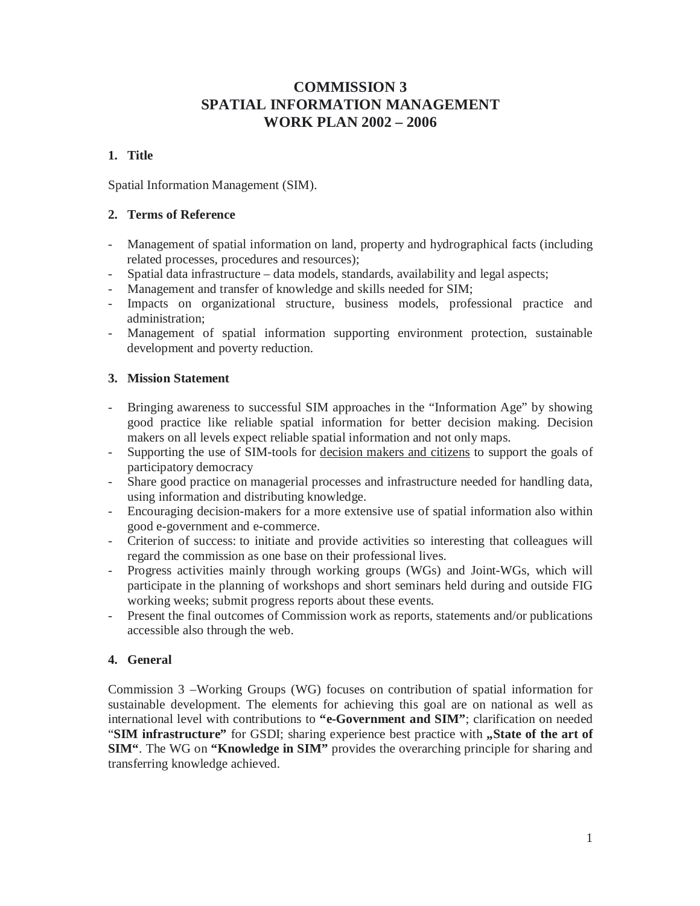# **COMMISSION 3 SPATIAL INFORMATION MANAGEMENT WORK PLAN 2002 – 2006**

# **1. Title**

Spatial Information Management (SIM).

### **2. Terms of Reference**

- Management of spatial information on land, property and hydrographical facts (including related processes, procedures and resources);
- Spatial data infrastructure data models, standards, availability and legal aspects;
- Management and transfer of knowledge and skills needed for SIM;
- Impacts on organizational structure, business models, professional practice and administration;
- Management of spatial information supporting environment protection, sustainable development and poverty reduction.

# **3. Mission Statement**

- Bringing awareness to successful SIM approaches in the "Information Age" by showing good practice like reliable spatial information for better decision making. Decision makers on all levels expect reliable spatial information and not only maps.
- Supporting the use of SIM-tools for decision makers and citizens to support the goals of participatory democracy
- Share good practice on managerial processes and infrastructure needed for handling data, using information and distributing knowledge.
- Encouraging decision-makers for a more extensive use of spatial information also within good e-government and e-commerce.
- Criterion of success: to initiate and provide activities so interesting that colleagues will regard the commission as one base on their professional lives.
- Progress activities mainly through working groups (WGs) and Joint-WGs, which will participate in the planning of workshops and short seminars held during and outside FIG working weeks; submit progress reports about these events.
- Present the final outcomes of Commission work as reports, statements and/or publications accessible also through the web.

# **4. General**

Commission 3 –Working Groups (WG) focuses on contribution of spatial information for sustainable development. The elements for achieving this goal are on national as well as international level with contributions to **"e-Government and SIM"**; clarification on needed "SIM infrastructure" for GSDI; sharing experience best practice with "State of the art of **SIM"**. The WG on **"Knowledge in SIM"** provides the overarching principle for sharing and transferring knowledge achieved.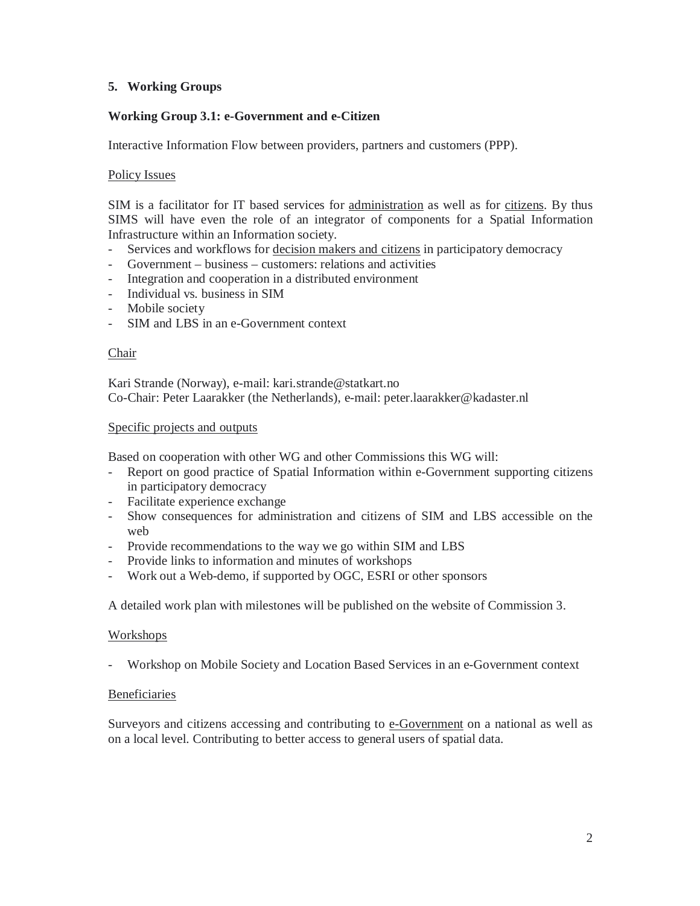# **5. Working Groups**

## **Working Group 3.1: e-Government and e-Citizen**

Interactive Information Flow between providers, partners and customers (PPP).

### Policy Issues

SIM is a facilitator for IT based services for administration as well as for citizens. By thus SIMS will have even the role of an integrator of components for a Spatial Information Infrastructure within an Information society.

- Services and workflows for decision makers and citizens in participatory democracy
- Government business customers: relations and activities
- Integration and cooperation in a distributed environment
- Individual vs. business in SIM
- Mobile society
- SIM and LBS in an e-Government context

#### Chair

Kari Strande (Norway), e-mail: kari.strande@statkart.no Co-Chair: Peter Laarakker (the Netherlands), e-mail: peter.laarakker@kadaster.nl

### Specific projects and outputs

Based on cooperation with other WG and other Commissions this WG will:

- Report on good practice of Spatial Information within e-Government supporting citizens in participatory democracy
- Facilitate experience exchange
- Show consequences for administration and citizens of SIM and LBS accessible on the web
- Provide recommendations to the way we go within SIM and LBS
- Provide links to information and minutes of workshops
- Work out a Web-demo, if supported by OGC, ESRI or other sponsors

A detailed work plan with milestones will be published on the website of Commission 3.

#### **Workshops**

- Workshop on Mobile Society and Location Based Services in an e-Government context

#### Beneficiaries

Surveyors and citizens accessing and contributing to e-Government on a national as well as on a local level. Contributing to better access to general users of spatial data.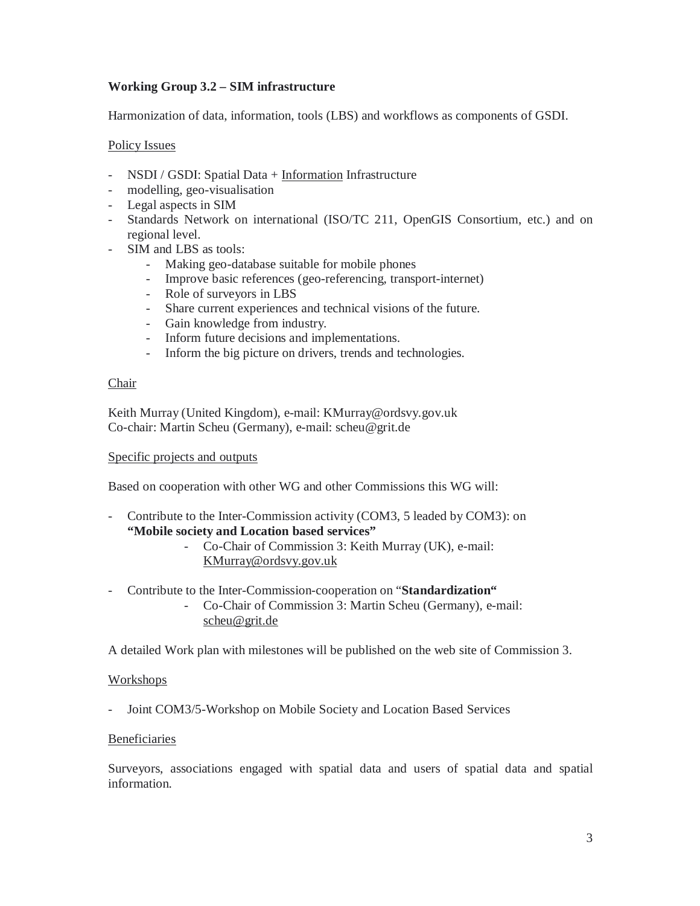# **Working Group 3.2 – SIM infrastructure**

Harmonization of data, information, tools (LBS) and workflows as components of GSDI.

#### Policy Issues

- NSDI / GSDI: Spatial Data + Information Infrastructure
- modelling, geo-visualisation
- Legal aspects in SIM
- Standards Network on international (ISO/TC 211, OpenGIS Consortium, etc.) and on regional level.
- SIM and LBS as tools:
	- Making geo-database suitable for mobile phones
	- Improve basic references (geo-referencing, transport-internet)
	- Role of surveyors in LBS
	- Share current experiences and technical visions of the future.
	- Gain knowledge from industry.
	- Inform future decisions and implementations.
	- Inform the big picture on drivers, trends and technologies.

#### Chair

Keith Murray (United Kingdom), e-mail: KMurray@ordsvy.gov.uk Co-chair: Martin Scheu (Germany), e-mail: scheu@grit.de

#### Specific projects and outputs

Based on cooperation with other WG and other Commissions this WG will:

- Contribute to the Inter-Commission activity (COM3, 5 leaded by COM3): on **"Mobile society and Location based services"** 

> - Co-Chair of Commission 3: Keith Murray (UK), e-mail: KMurray@ordsvy.gov.uk

- Contribute to the Inter-Commission-cooperation on "**Standardization"** 
	- Co-Chair of Commission 3: Martin Scheu (Germany), e-mail: scheu@grit.de

A detailed Work plan with milestones will be published on the web site of Commission 3.

#### Workshops

- Joint COM3/5-Workshop on Mobile Society and Location Based Services

#### Beneficiaries

Surveyors, associations engaged with spatial data and users of spatial data and spatial information.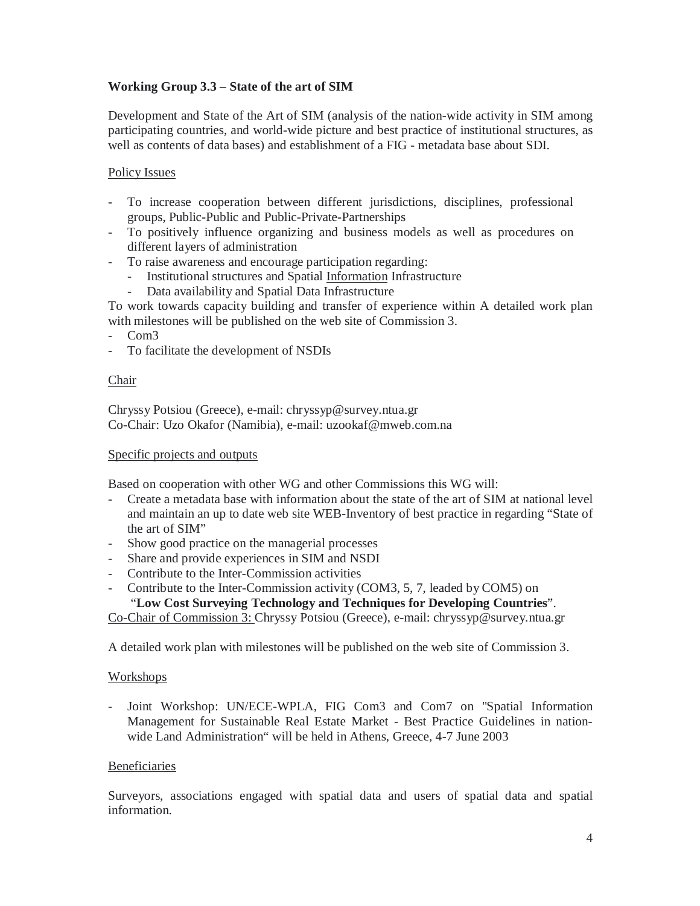# **Working Group 3.3 – State of the art of SIM**

Development and State of the Art of SIM (analysis of the nation-wide activity in SIM among participating countries, and world-wide picture and best practice of institutional structures, as well as contents of data bases) and establishment of a FIG - metadata base about SDI.

### Policy Issues

- To increase cooperation between different jurisdictions, disciplines, professional groups, Public-Public and Public-Private-Partnerships
- To positively influence organizing and business models as well as procedures on different layers of administration
- To raise awareness and encourage participation regarding:
	- Institutional structures and Spatial Information Infrastructure
	- Data availability and Spatial Data Infrastructure

To work towards capacity building and transfer of experience within A detailed work plan with milestones will be published on the web site of Commission 3.

- Com3
- To facilitate the development of NSDIs

#### Chair

Chryssy Potsiou (Greece), e-mail: chryssyp@survey.ntua.gr Co-Chair: Uzo Okafor (Namibia), e-mail: uzookaf@mweb.com.na

#### Specific projects and outputs

Based on cooperation with other WG and other Commissions this WG will:

- Create a metadata base with information about the state of the art of SIM at national level and maintain an up to date web site WEB-Inventory of best practice in regarding "State of the art of SIM"
- Show good practice on the managerial processes
- Share and provide experiences in SIM and NSDI
- Contribute to the Inter-Commission activities
- Contribute to the Inter-Commission activity (COM3, 5, 7, leaded by COM5) on

"**Low Cost Surveying Technology and Techniques for Developing Countries**".

Co-Chair of Commission 3: Chryssy Potsiou (Greece), e-mail: chryssyp@survey.ntua.gr

A detailed work plan with milestones will be published on the web site of Commission 3.

#### Workshops

- Joint Workshop: UN/ECE-WPLA, FIG Com3 and Com7 on "Spatial Information Management for Sustainable Real Estate Market - Best Practice Guidelines in nationwide Land Administration" will be held in Athens, Greece, 4-7 June 2003

#### Beneficiaries

Surveyors, associations engaged with spatial data and users of spatial data and spatial information.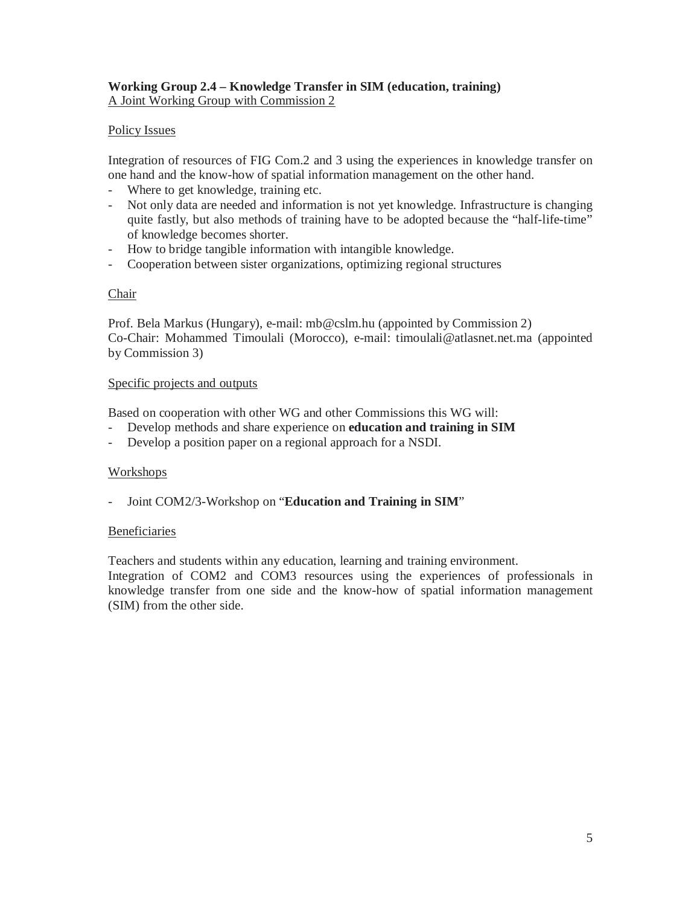### **Working Group 2.4 – Knowledge Transfer in SIM (education, training)**  A Joint Working Group with Commission 2

## Policy Issues

Integration of resources of FIG Com.2 and 3 using the experiences in knowledge transfer on one hand and the know-how of spatial information management on the other hand.

- Where to get knowledge, training etc.
- Not only data are needed and information is not yet knowledge. Infrastructure is changing quite fastly, but also methods of training have to be adopted because the "half-life-time" of knowledge becomes shorter.
- How to bridge tangible information with intangible knowledge.
- Cooperation between sister organizations, optimizing regional structures

#### **Chair**

Prof. Bela Markus (Hungary), e-mail: mb@cslm.hu (appointed by Commission 2) Co-Chair: Mohammed Timoulali (Morocco), e-mail: timoulali@atlasnet.net.ma (appointed by Commission 3)

#### Specific projects and outputs

Based on cooperation with other WG and other Commissions this WG will:

- Develop methods and share experience on **education and training in SIM**
- Develop a position paper on a regional approach for a NSDI.

#### **Workshops**

- Joint COM2/3-Workshop on "**Education and Training in SIM**"

#### Beneficiaries

Teachers and students within any education, learning and training environment.

Integration of COM2 and COM3 resources using the experiences of professionals in knowledge transfer from one side and the know-how of spatial information management (SIM) from the other side.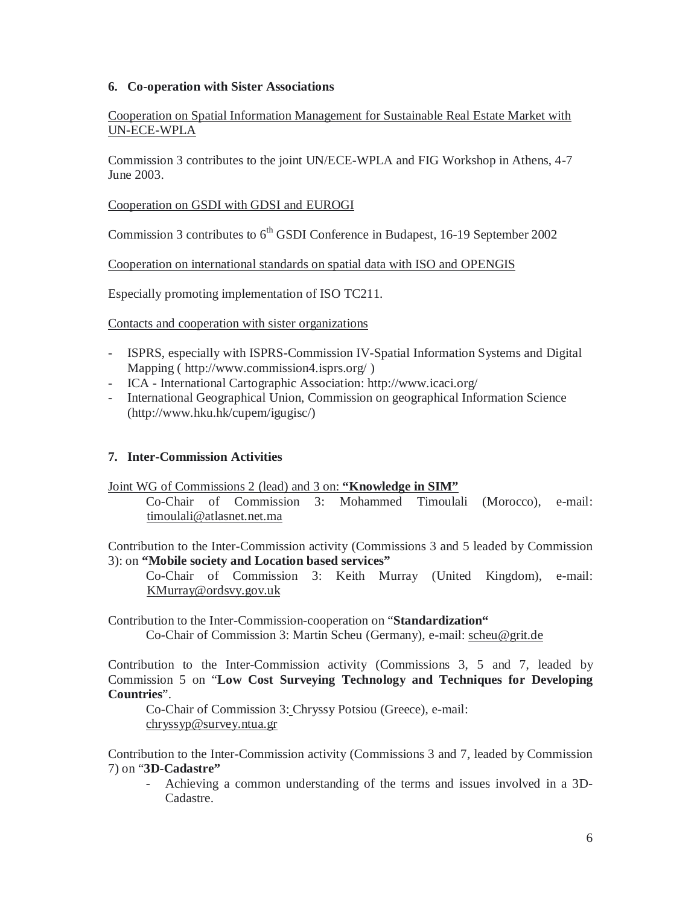#### **6. Co-operation with Sister Associations**

Cooperation on Spatial Information Management for Sustainable Real Estate Market with UN-ECE-WPLA

Commission 3 contributes to the joint UN/ECE-WPLA and FIG Workshop in Athens, 4-7 June 2003.

Cooperation on GSDI with GDSI and EUROGI

Commission 3 contributes to 6<sup>th</sup> GSDI Conference in Budapest, 16-19 September 2002

Cooperation on international standards on spatial data with ISO and OPENGIS

Especially promoting implementation of ISO TC211.

Contacts and cooperation with sister organizations

- ISPRS, especially with ISPRS-Commission IV-Spatial Information Systems and Digital Mapping ( http://www.commission4.isprs.org/ )
- ICA International Cartographic Association: http://www.icaci.org/
- International Geographical Union, Commission on geographical Information Science (http://www.hku.hk/cupem/igugisc/)

#### **7. Inter-Commission Activities**

Joint WG of Commissions 2 (lead) and 3 on: **"Knowledge in SIM"**

Co-Chair of Commission 3: Mohammed Timoulali (Morocco), e-mail: timoulali@atlasnet.net.ma

Contribution to the Inter-Commission activity (Commissions 3 and 5 leaded by Commission 3): on **"Mobile society and Location based services"** 

Co-Chair of Commission 3: Keith Murray (United Kingdom), e-mail: KMurray@ordsvy.gov.uk

Contribution to the Inter-Commission-cooperation on "**Standardization"**  Co-Chair of Commission 3: Martin Scheu (Germany), e-mail: scheu@grit.de

Contribution to the Inter-Commission activity (Commissions 3, 5 and 7, leaded by Commission 5 on "**Low Cost Surveying Technology and Techniques for Developing Countries**".

Co-Chair of Commission 3: Chryssy Potsiou (Greece), e-mail: chryssyp@survey.ntua.gr

Contribution to the Inter-Commission activity (Commissions 3 and 7, leaded by Commission 7) on "**3D-Cadastre"** 

- Achieving a common understanding of the terms and issues involved in a 3D-Cadastre.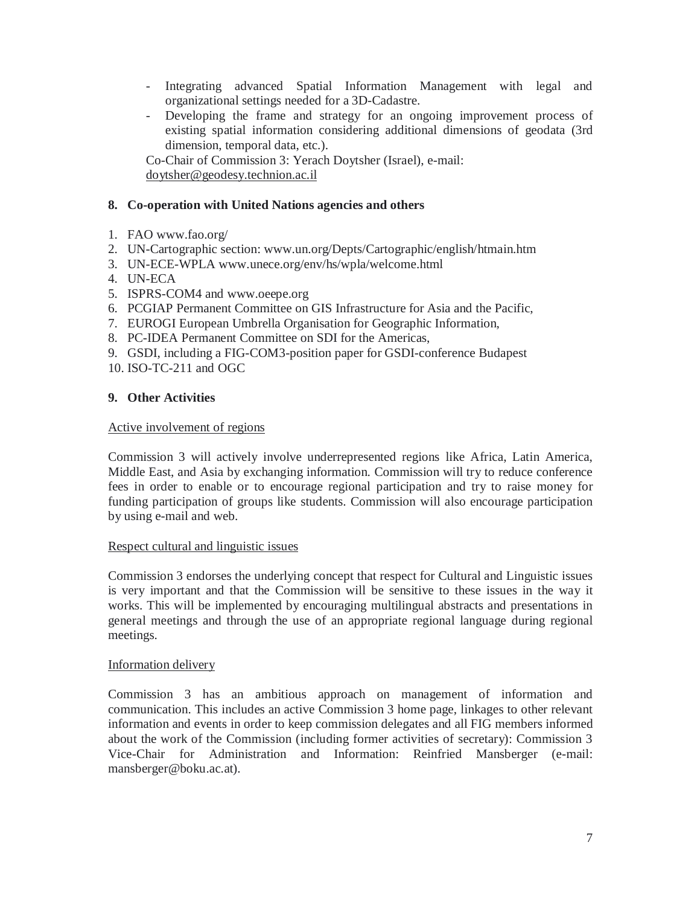- Integrating advanced Spatial Information Management with legal and organizational settings needed for a 3D-Cadastre.
- Developing the frame and strategy for an ongoing improvement process of existing spatial information considering additional dimensions of geodata (3rd dimension, temporal data, etc.).

Co-Chair of Commission 3: Yerach Doytsher (Israel), e-mail: doytsher@geodesy.technion.ac.il

### **8. Co-operation with United Nations agencies and others**

- 1. FAO www.fao.org/
- 2. UN-Cartographic section: www.un.org/Depts/Cartographic/english/htmain.htm
- 3. UN-ECE-WPLA www.unece.org/env/hs/wpla/welcome.html
- 4. UN-ECA
- 5. ISPRS-COM4 and www.oeepe.org
- 6. PCGIAP Permanent Committee on GIS Infrastructure for Asia and the Pacific,
- 7. EUROGI European Umbrella Organisation for Geographic Information,
- 8. PC-IDEA Permanent Committee on SDI for the Americas,
- 9. GSDI, including a FIG-COM3-position paper for GSDI-conference Budapest
- 10. ISO-TC-211 and OGC

### **9. Other Activities**

#### Active involvement of regions

Commission 3 will actively involve underrepresented regions like Africa, Latin America, Middle East, and Asia by exchanging information. Commission will try to reduce conference fees in order to enable or to encourage regional participation and try to raise money for funding participation of groups like students. Commission will also encourage participation by using e-mail and web.

#### Respect cultural and linguistic issues

Commission 3 endorses the underlying concept that respect for Cultural and Linguistic issues is very important and that the Commission will be sensitive to these issues in the way it works. This will be implemented by encouraging multilingual abstracts and presentations in general meetings and through the use of an appropriate regional language during regional meetings.

#### Information delivery

Commission 3 has an ambitious approach on management of information and communication. This includes an active Commission 3 home page, linkages to other relevant information and events in order to keep commission delegates and all FIG members informed about the work of the Commission (including former activities of secretary): Commission 3 Vice-Chair for Administration and Information: Reinfried Mansberger (e-mail: mansberger@boku.ac.at).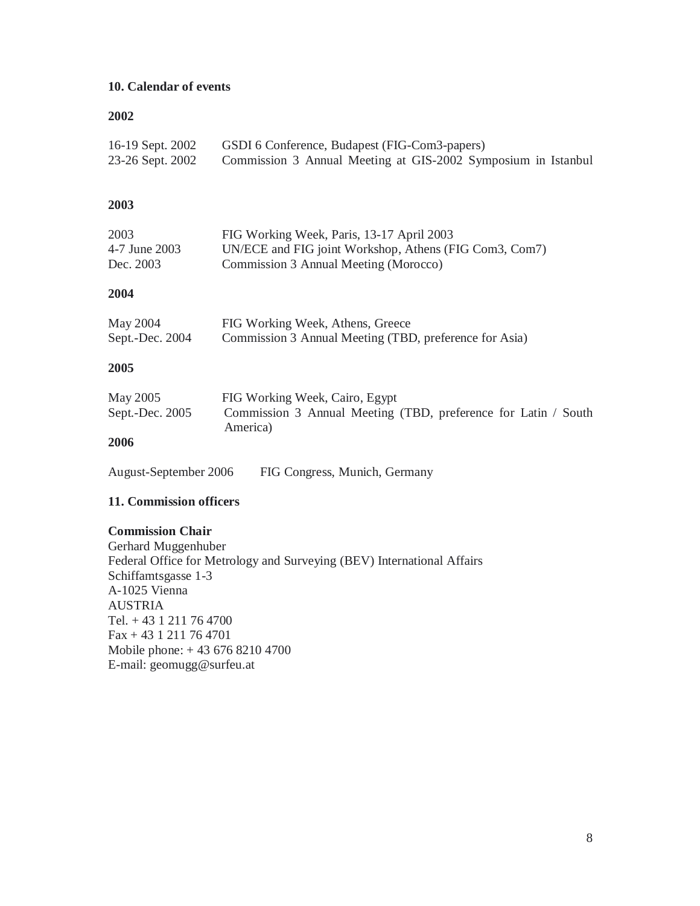## **10. Calendar of events**

#### **2002**

| 16-19 Sept. 2002 | GSDI 6 Conference, Budapest (FIG-Com3-papers)                 |
|------------------|---------------------------------------------------------------|
| 23-26 Sept. 2002 | Commission 3 Annual Meeting at GIS-2002 Symposium in Istanbul |

## **2003**

| 2003          | FIG Working Week, Paris, 13-17 April 2003              |
|---------------|--------------------------------------------------------|
| 4-7 June 2003 | UN/ECE and FIG joint Workshop, Athens (FIG Com3, Com7) |
| Dec. 2003     | Commission 3 Annual Meeting (Morocco)                  |

### **2004**

| May 2004        | FIG Working Week, Athens, Greece                       |
|-----------------|--------------------------------------------------------|
| Sept.-Dec. 2004 | Commission 3 Annual Meeting (TBD, preference for Asia) |

# **2005**

| May 2005        | FIG Working Week, Cairo, Egypt                                             |
|-----------------|----------------------------------------------------------------------------|
| Sept.-Dec. 2005 | Commission 3 Annual Meeting (TBD, preference for Latin / South<br>America) |
| 200C            |                                                                            |

#### **2006**

August-September 2006 FIG Congress, Munich, Germany

#### **11. Commission officers**

#### **Commission Chair**

Gerhard Muggenhuber Federal Office for Metrology and Surveying (BEV) International Affairs Schiffamtsgasse 1-3 A-1025 Vienna AUSTRIA Tel. + 43 1 211 76 4700 Fax + 43 1 211 76 4701 Mobile phone: + 43 676 8210 4700 E-mail: geomugg@surfeu.at